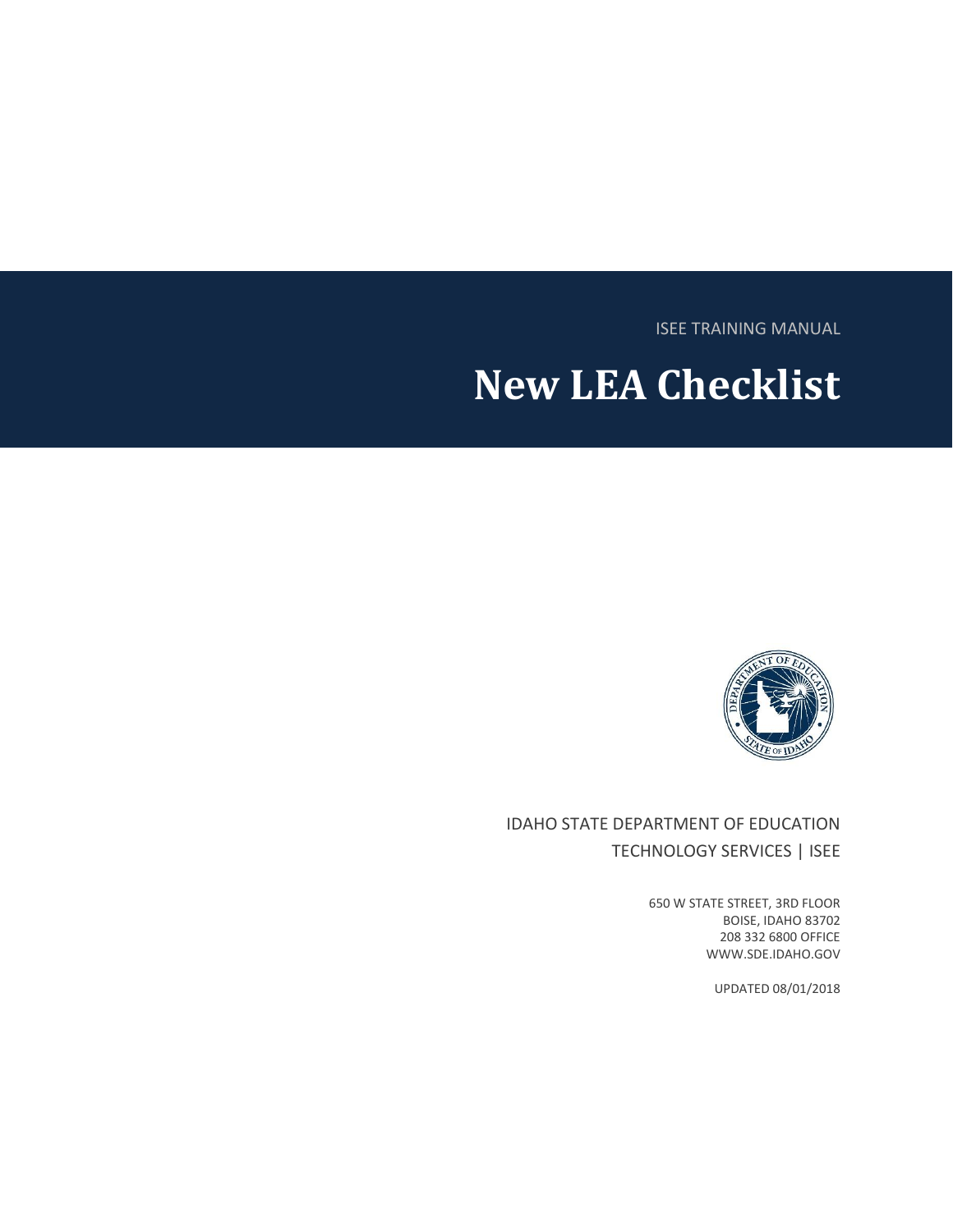ISEE TRAINING MANUAL

# **New LEA Checklist**



IDAHO STATE DEPARTMENT OF EDUCATION TECHNOLOGY SERVICES | ISEE

> 650 W STATE STREET, 3RD FLOOR BOISE, IDAHO 83702 208 332 6800 OFFICE WWW.SDE.IDAHO.GOV

> > UPDATED 08/01/2018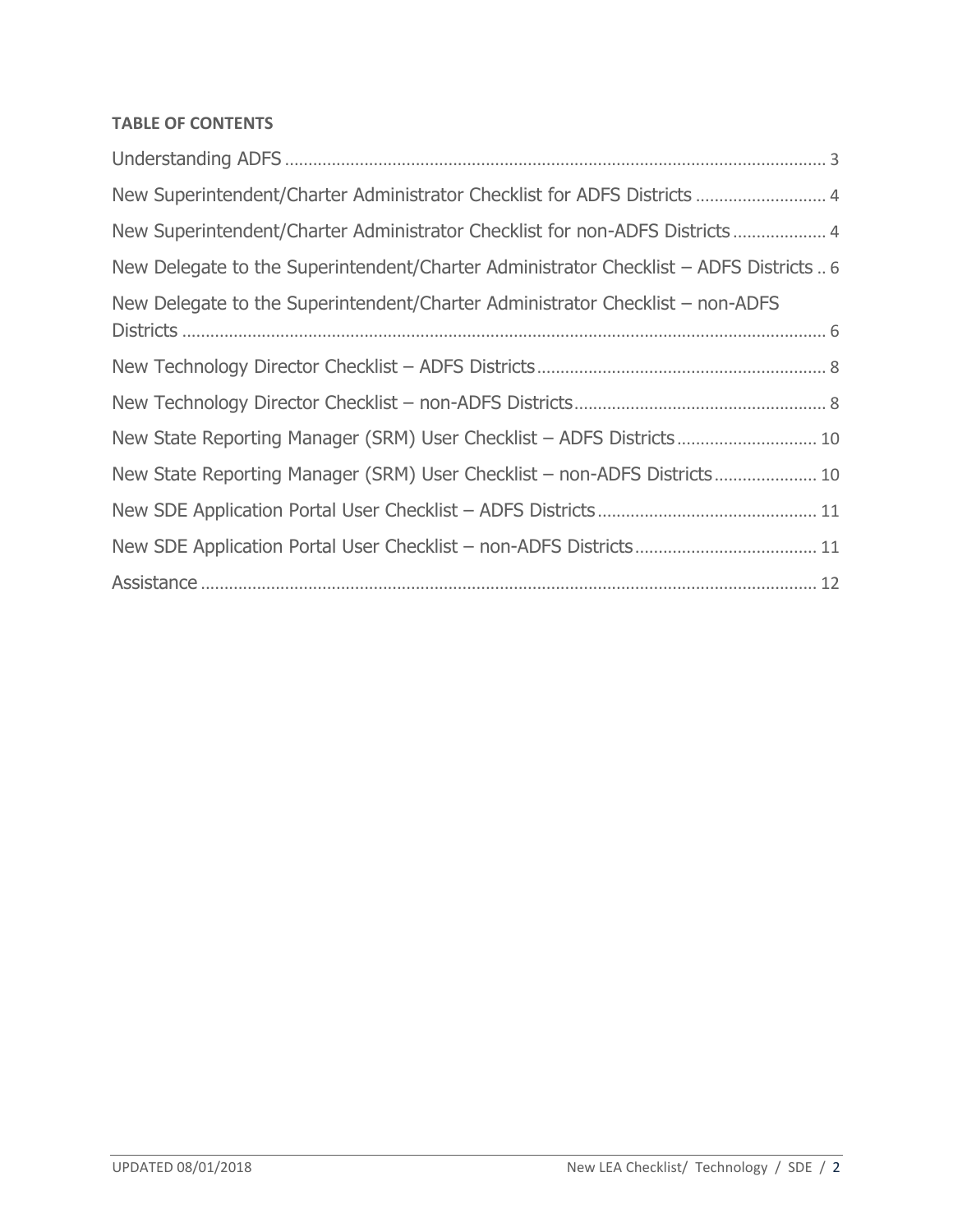#### **TABLE OF CONTENTS**

| New Superintendent/Charter Administrator Checklist for ADFS Districts  4               |
|----------------------------------------------------------------------------------------|
| New Superintendent/Charter Administrator Checklist for non-ADFS Districts 4            |
| New Delegate to the Superintendent/Charter Administrator Checklist - ADFS Districts  6 |
| New Delegate to the Superintendent/Charter Administrator Checklist – non-ADFS          |
|                                                                                        |
|                                                                                        |
|                                                                                        |
|                                                                                        |
| New State Reporting Manager (SRM) User Checklist - non-ADFS Districts 10               |
|                                                                                        |
|                                                                                        |
|                                                                                        |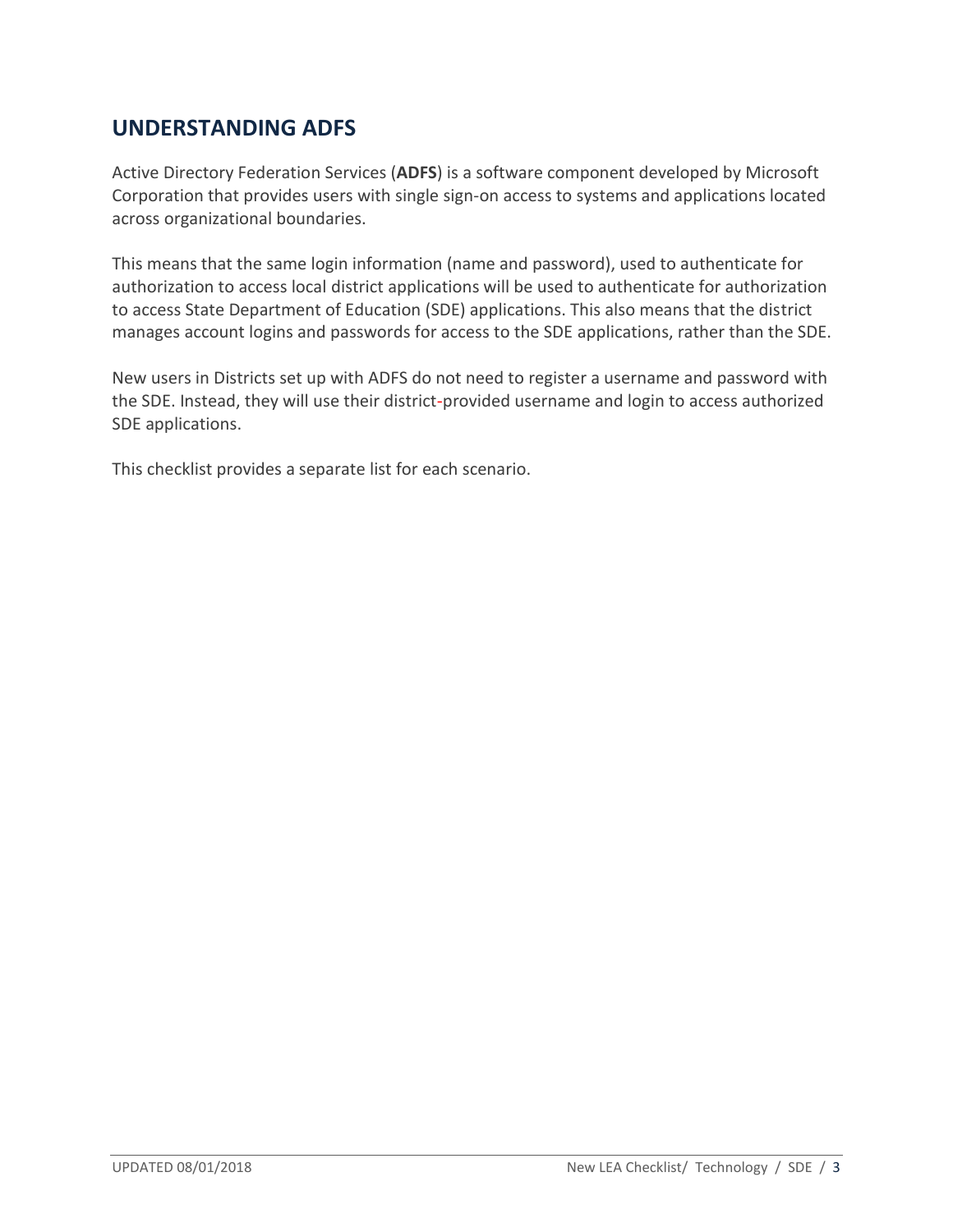## <span id="page-2-0"></span>**UNDERSTANDING ADFS**

Active Directory Federation Services (**ADFS**) is a software component developed by Microsoft Corporation that provides users with single sign-on access to systems and applications located across organizational boundaries.

This means that the same login information (name and password), used to authenticate for authorization to access local district applications will be used to authenticate for authorization to access State Department of Education (SDE) applications. This also means that the district manages account logins and passwords for access to the SDE applications, rather than the SDE.

New users in Districts set up with ADFS do not need to register a username and password with the SDE. Instead, they will use their district-provided username and login to access authorized SDE applications.

This checklist provides a separate list for each scenario.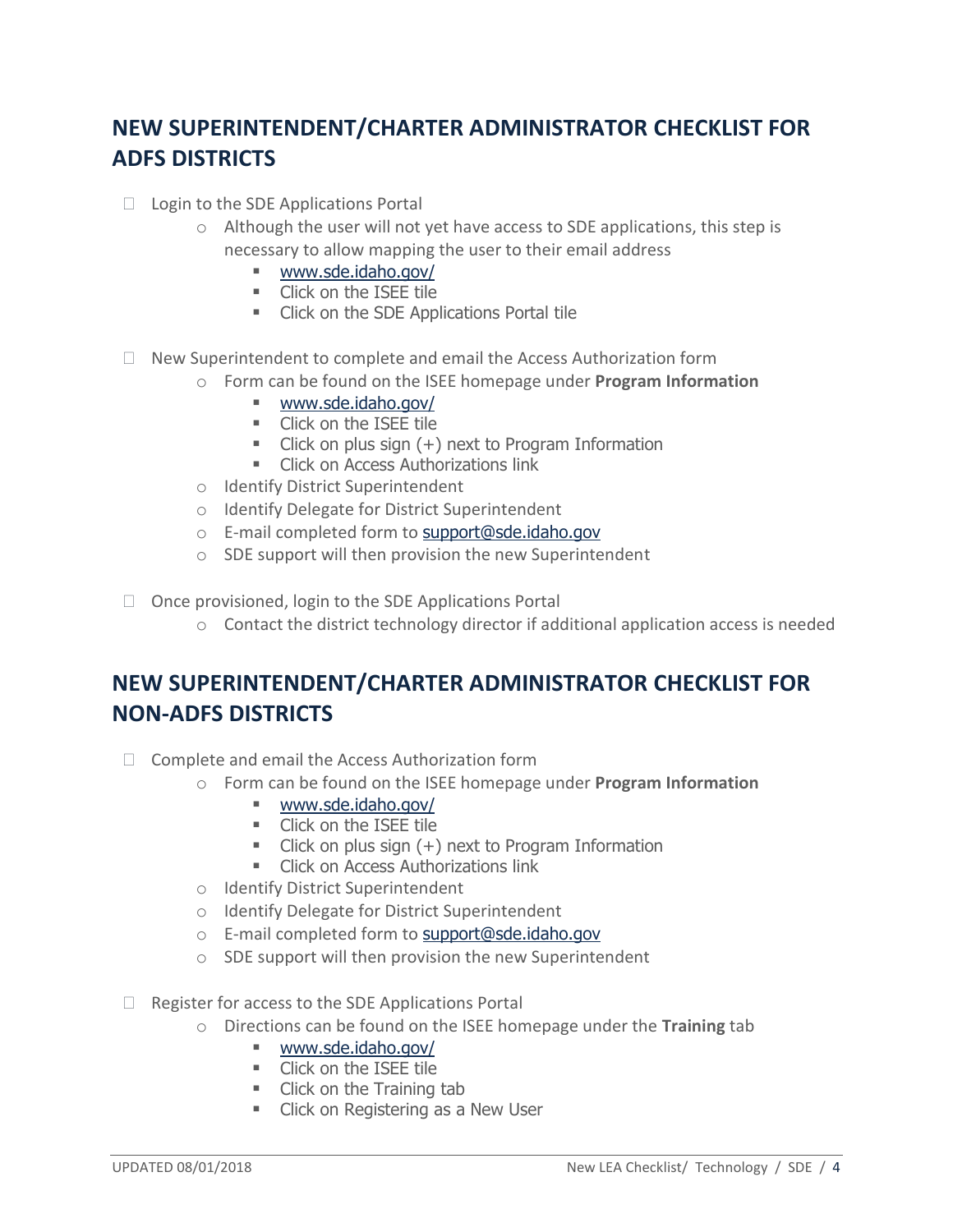# <span id="page-3-0"></span>**NEW SUPERINTENDENT/CHARTER ADMINISTRATOR CHECKLIST FOR ADFS DISTRICTS**

- $\Box$  Login to the SDE Applications Portal
	- $\circ$  Although the user will not yet have access to SDE applications, this step is necessary to allow mapping the user to their email address
		- [www.sde.idaho.gov/](http://www.sde.idaho.gov/)
		- **Click on the ISEE tile**
		- **EXECUTE:** Click on the SDE Applications Portal tile
- $\Box$  New Superintendent to complete and email the Access Authorization form
	- o Form can be found on the ISEE homepage under **Program Information**
		- [www.sde.idaho.gov/](http://www.sde.idaho.gov/)
		- **Click on the ISEE tile**
		- $\blacksquare$  Click on plus sign  $(+)$  next to Program Information
		- **EXECLICK ON Access Authorizations link**
	- o Identify District Superintendent
	- o Identify Delegate for District Superintendent
	- o E-mail completed form to [support@sde.idaho.gov](mailto:support@sde.idaho.gov)
	- o SDE support will then provision the new Superintendent
- $\Box$  Once provisioned, login to the SDE Applications Portal
	- $\circ$  Contact the district technology director if additional application access is needed

## <span id="page-3-1"></span>**NEW SUPERINTENDENT/CHARTER ADMINISTRATOR CHECKLIST FOR NON-ADFS DISTRICTS**

- $\Box$  Complete and email the Access Authorization form
	- o Form can be found on the ISEE homepage under **Program Information**
		- [www.sde.idaho.gov/](http://www.sde.idaho.gov/)
		- **Click on the ISEE tile**
		- $\blacksquare$  Click on plus sign  $(+)$  next to Program Information
		- **EXECUTE:** Click on Access Authorizations link
	- o Identify District Superintendent
	- o Identify Delegate for District Superintendent
	- o E-mail completed form to [support@sde.idaho.gov](mailto:support@sde.idaho.gov)
	- o SDE support will then provision the new Superintendent
- $\Box$  Register for access to the SDE Applications Portal
	- o Directions can be found on the ISEE homepage under the **Training** tab
		- [www.sde.idaho.gov/](http://www.sde.idaho.gov/)
		- **Click on the ISEE tile**
		- Click on the Training tab
		- **EXECLICE ON Registering as a New User**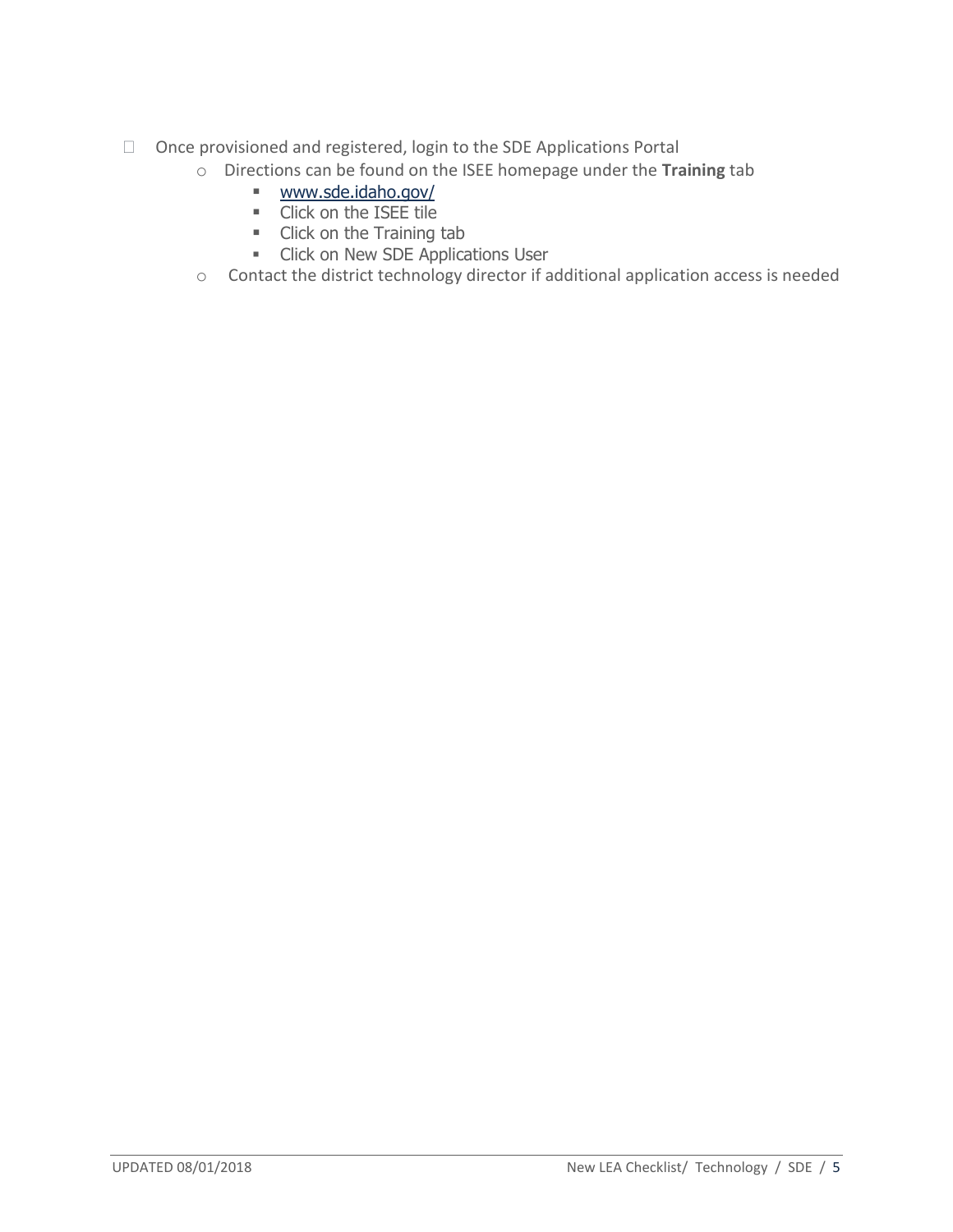- Once provisioned and registered, login to the SDE Applications Portal
	- o Directions can be found on the ISEE homepage under the **Training** tab
		- [www.sde.idaho.gov/](http://www.sde.idaho.gov/)
		- **Click on the ISEE tile**
		- Click on the Training tab
		- **EXECUTE:** Click on New SDE Applications User
	- o Contact the district technology director if additional application access is needed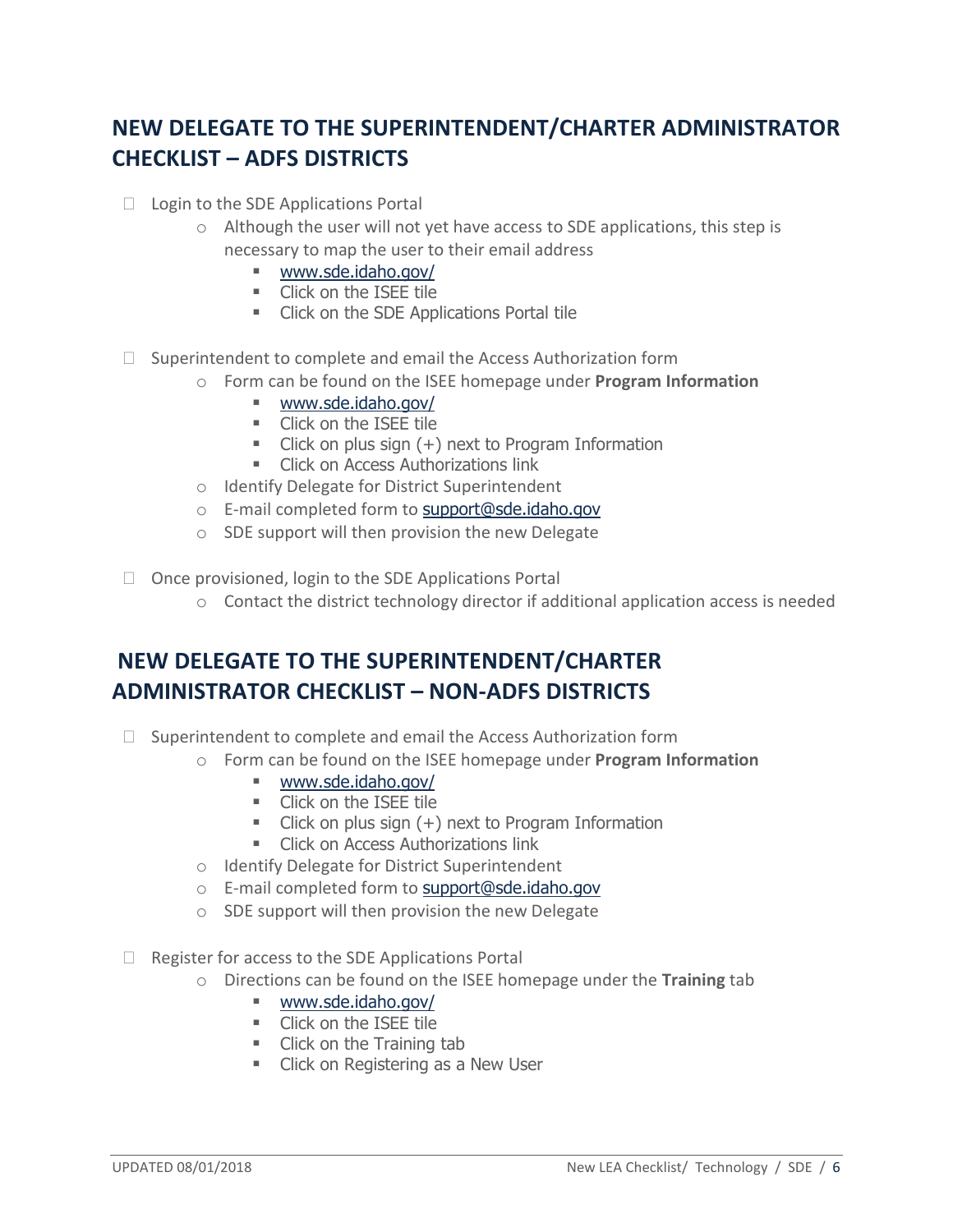# <span id="page-5-0"></span>**NEW DELEGATE TO THE SUPERINTENDENT/CHARTER ADMINISTRATOR CHECKLIST – ADFS DISTRICTS**

- $\Box$  Login to the SDE Applications Portal
	- $\circ$  Although the user will not yet have access to SDE applications, this step is necessary to map the user to their email address
		- [www.sde.idaho.gov/](http://www.sde.idaho.gov/)
		- **Click on the ISEE tile**
		- **EXECUTE:** Click on the SDE Applications Portal tile
- $\Box$  Superintendent to complete and email the Access Authorization form
	- o Form can be found on the ISEE homepage under **Program Information**
		- [www.sde.idaho.gov/](http://www.sde.idaho.gov/)
		- **Click on the ISEE tile**
		- $\blacksquare$  Click on plus sign  $(+)$  next to Program Information
		- **EXECLICK ON Access Authorizations link**
	- o Identify Delegate for District Superintendent
	- o E-mail completed form to [support@sde.idaho.gov](mailto:support@sde.idaho.gov)
	- o SDE support will then provision the new Delegate
- $\Box$  Once provisioned, login to the SDE Applications Portal
	- $\circ$  Contact the district technology director if additional application access is needed

# <span id="page-5-1"></span>**NEW DELEGATE TO THE SUPERINTENDENT/CHARTER ADMINISTRATOR CHECKLIST – NON-ADFS DISTRICTS**

- $\Box$  Superintendent to complete and email the Access Authorization form
	- o Form can be found on the ISEE homepage under **Program Information**
		- [www.sde.idaho.gov/](http://www.sde.idaho.gov/)
		- **EXECUTE:** Click on the ISEE tile
		- $\blacksquare$  Click on plus sign  $(+)$  next to Program Information
		- **EXECLICE ON Access Authorizations link**
	- o Identify Delegate for District Superintendent
	- o E-mail completed form to [support@sde.idaho.gov](mailto:support@sde.idaho.gov)
	- o SDE support will then provision the new Delegate
- $\Box$  Register for access to the SDE Applications Portal
	- o Directions can be found on the ISEE homepage under the **Training** tab
		- [www.sde.idaho.gov/](http://www.sde.idaho.gov/)
		- **Click on the ISEE tile**
		- Click on the Training tab
		- **Example 2** Click on Registering as a New User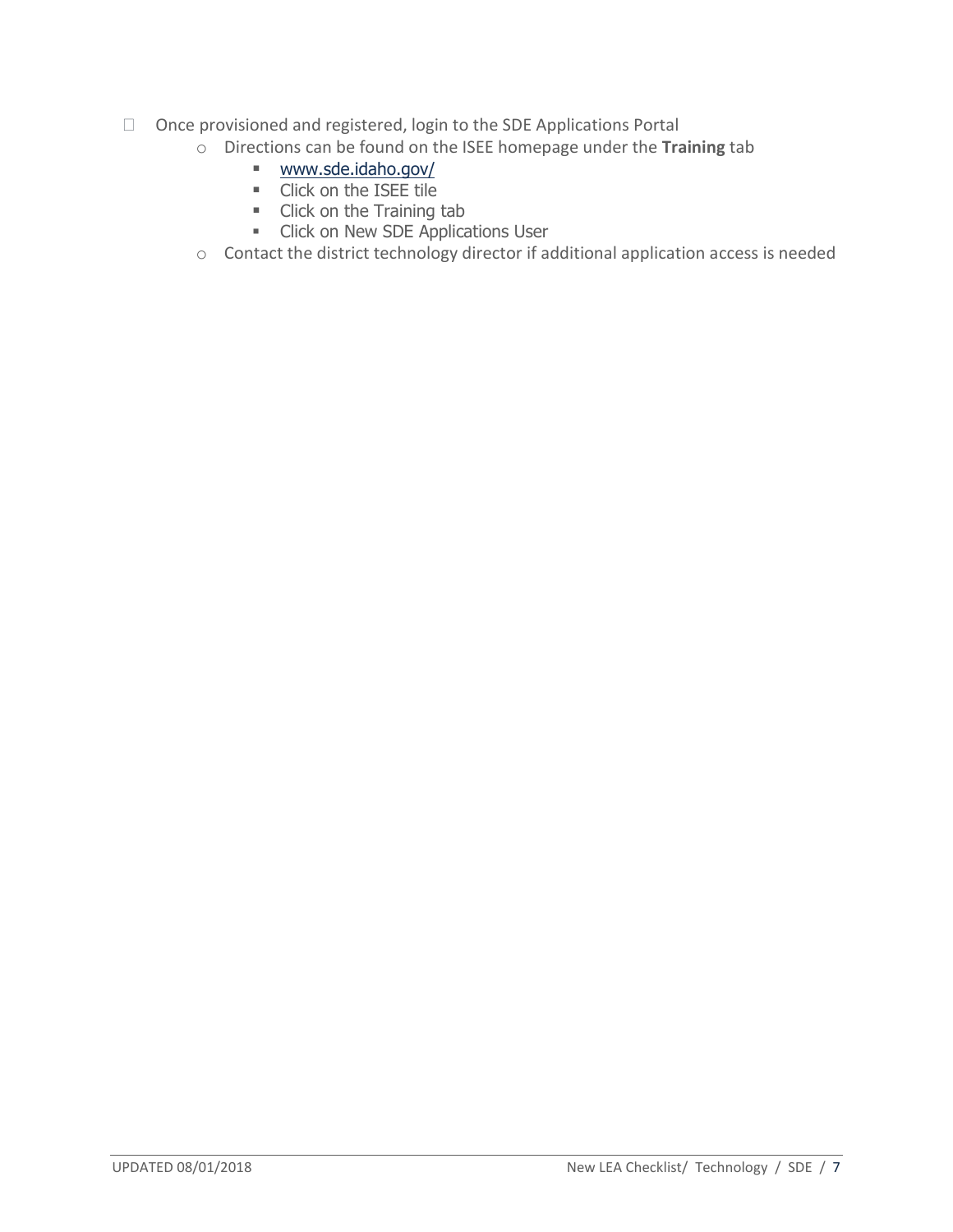- □ Once provisioned and registered, login to the SDE Applications Portal
	- o Directions can be found on the ISEE homepage under the **Training** tab
		- [www.sde.idaho.gov/](http://www.sde.idaho.gov/)
		- **Click on the ISEE tile**
		- Click on the Training tab
		- **EXECUTE:** Click on New SDE Applications User
	- o Contact the district technology director if additional application access is needed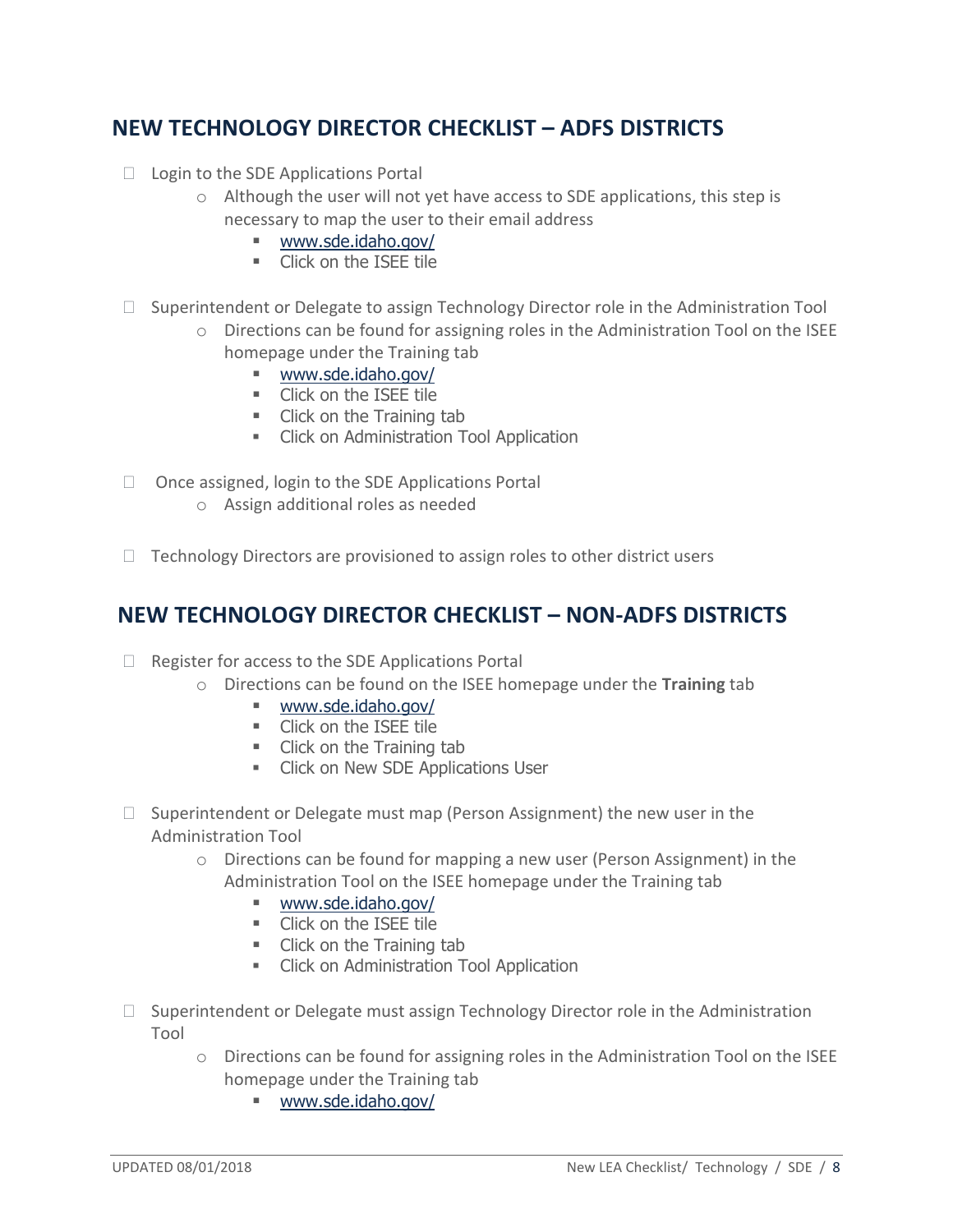## <span id="page-7-0"></span>**NEW TECHNOLOGY DIRECTOR CHECKLIST – ADFS DISTRICTS**

- $\Box$  Login to the SDE Applications Portal
	- o Although the user will not yet have access to SDE applications, this step is necessary to map the user to their email address
		- [www.sde.idaho.gov/](http://www.sde.idaho.gov/)
		- **Click on the ISEE tile**
- □ Superintendent or Delegate to assign Technology Director role in the Administration Tool
	- $\circ$  Directions can be found for assigning roles in the Administration Tool on the ISEE homepage under the Training tab
		- [www.sde.idaho.gov/](http://www.sde.idaho.gov/)
		- **EXECUTE:** Click on the ISEE tile
		- **Click on the Training tab**
		- **EXECLICK ON Administration Tool Application**
- $\Box$  Once assigned, login to the SDE Applications Portal
	- o Assign additional roles as needed
- <span id="page-7-1"></span> $\Box$  Technology Directors are provisioned to assign roles to other district users

#### **NEW TECHNOLOGY DIRECTOR CHECKLIST – NON-ADFS DISTRICTS**

- $\Box$  Register for access to the SDE Applications Portal
	- o Directions can be found on the ISEE homepage under the **Training** tab
		- [www.sde.idaho.gov/](http://www.sde.idaho.gov/)
		- **EXECUTE:** Click on the ISEE tile
		- Click on the Training tab
		- **EXECUTE:** Click on New SDE Applications User
- $\Box$  Superintendent or Delegate must map (Person Assignment) the new user in the Administration Tool
	- $\circ$  Directions can be found for mapping a new user (Person Assignment) in the Administration Tool on the ISEE homepage under the Training tab
		- [www.sde.idaho.gov/](http://www.sde.idaho.gov/)
		- **EXECUTE:** Click on the ISEE tile
		- Click on the Training tab
		- **EXECLICK ON Administration Tool Application**
- $\Box$  Superintendent or Delegate must assign Technology Director role in the Administration Tool
	- o Directions can be found for assigning roles in the Administration Tool on the ISEE homepage under the Training tab
		- [www.sde.idaho.gov/](http://www.sde.idaho.gov/)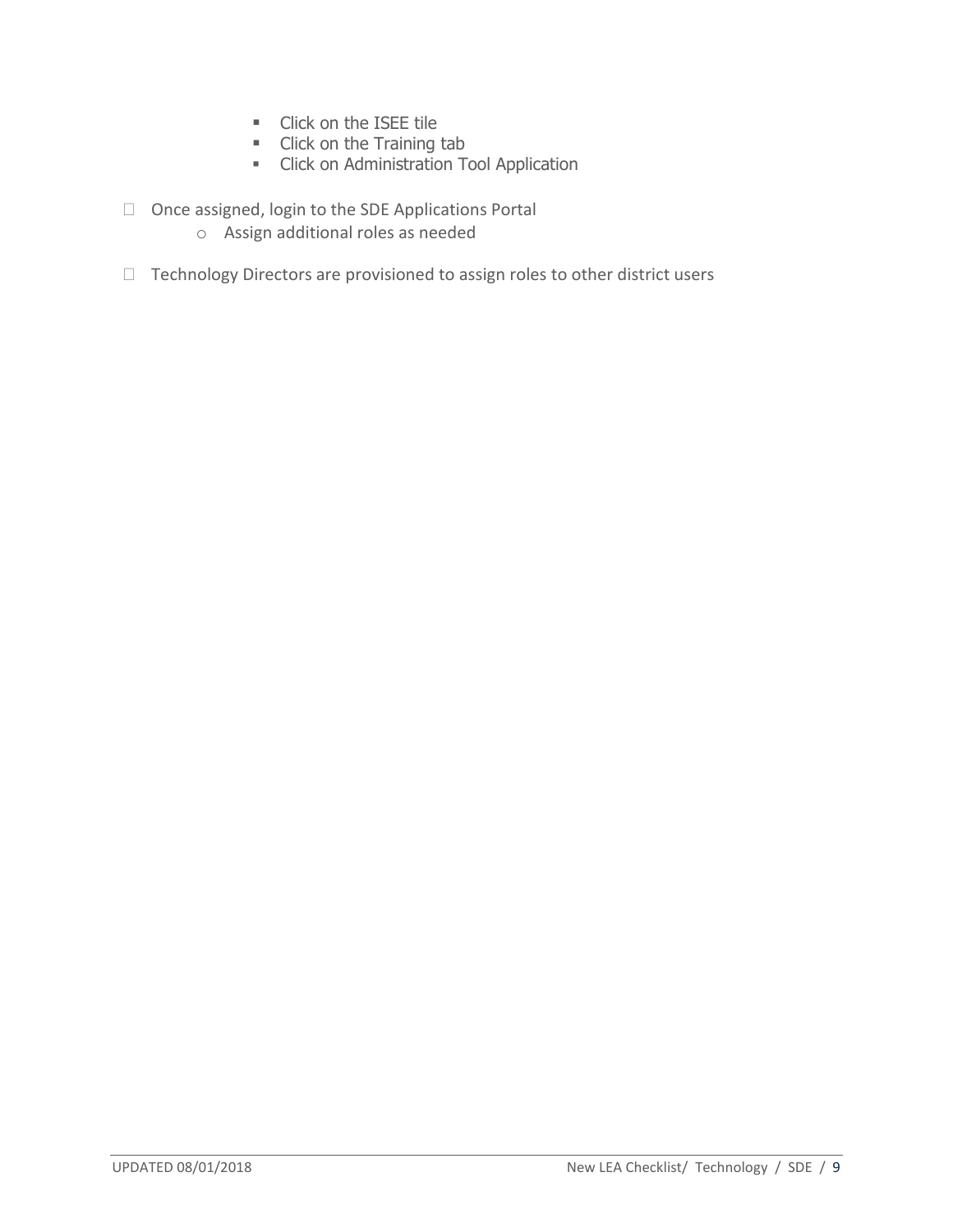- **Click on the ISEE tile**
- Click on the Training tab
- **•** Click on Administration Tool Application
- Once assigned, login to the SDE Applications Portal
	- o Assign additional roles as needed
- $\Box$  Technology Directors are provisioned to assign roles to other district users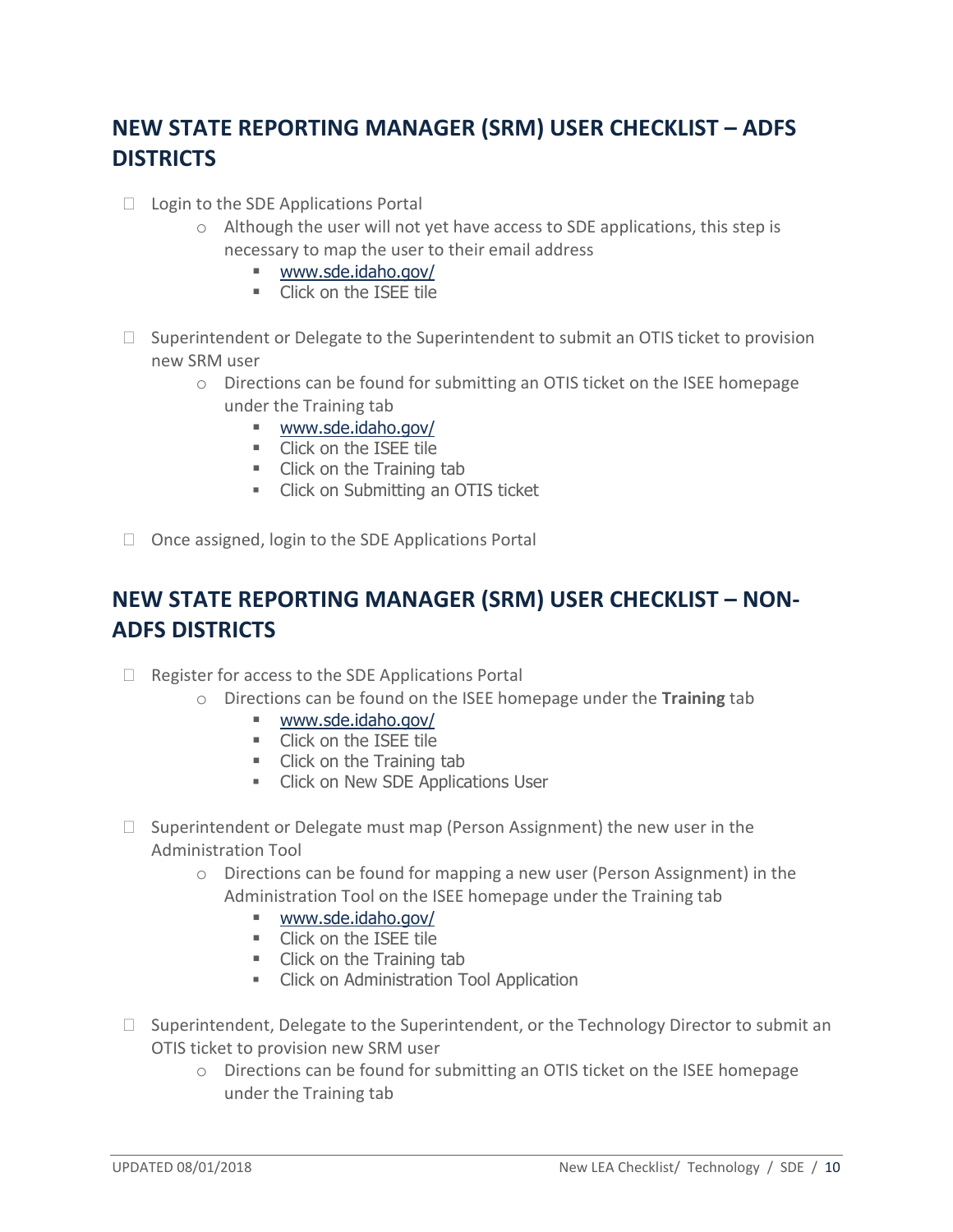# <span id="page-9-0"></span>**NEW STATE REPORTING MANAGER (SRM) USER CHECKLIST – ADFS DISTRICTS**

- $\Box$  Login to the SDE Applications Portal
	- $\circ$  Although the user will not yet have access to SDE applications, this step is necessary to map the user to their email address
		- [www.sde.idaho.gov/](http://www.sde.idaho.gov/)
		- **Click on the ISEE tile**
- $\Box$  Superintendent or Delegate to the Superintendent to submit an OTIS ticket to provision new SRM user
	- o Directions can be found for submitting an OTIS ticket on the ISEE homepage under the Training tab
		- [www.sde.idaho.gov/](http://www.sde.idaho.gov/)
		- **EXECUTE:** Click on the ISEE tile
		- Click on the Training tab
		- **EXECUTE:** Click on Submitting an OTIS ticket
- <span id="page-9-1"></span> $\Box$  Once assigned, login to the SDE Applications Portal

## **NEW STATE REPORTING MANAGER (SRM) USER CHECKLIST - NON-ADFS DISTRICTS**

- $\Box$  Register for access to the SDE Applications Portal
	- o Directions can be found on the ISEE homepage under the **Training** tab
		- [www.sde.idaho.gov/](http://www.sde.idaho.gov/)
		- **Click on the ISEE tile**
		- Click on the Training tab
		- **Example 2** Click on New SDE Applications User
- $\Box$  Superintendent or Delegate must map (Person Assignment) the new user in the Administration Tool
	- $\circ$  Directions can be found for mapping a new user (Person Assignment) in the Administration Tool on the ISEE homepage under the Training tab
		- [www.sde.idaho.gov/](http://www.sde.idaho.gov/)
		- **Click on the ISEE tile**
		- Click on the Training tab
		- **EXECLICK ON Administration Tool Application**
- $\Box$  Superintendent, Delegate to the Superintendent, or the Technology Director to submit an OTIS ticket to provision new SRM user
	- o Directions can be found for submitting an OTIS ticket on the ISEE homepage under the Training tab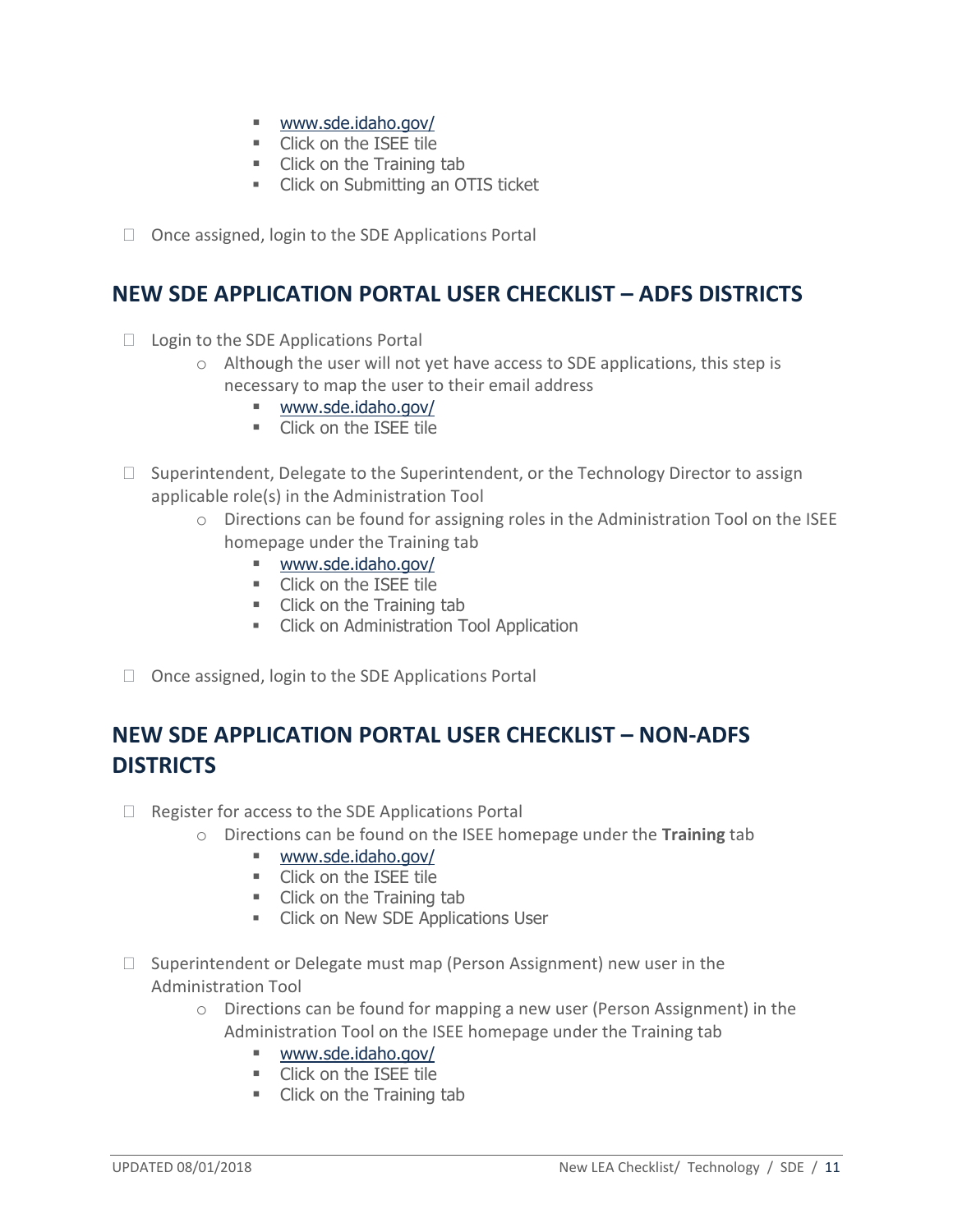- [www.sde.idaho.gov/](http://www.sde.idaho.gov/)
- **EXECUTE:** Click on the ISEE tile
- Click on the Training tab
- Click on Submitting an OTIS ticket
- <span id="page-10-0"></span> $\Box$  Once assigned, login to the SDE Applications Portal

#### **NEW SDE APPLICATION PORTAL USER CHECKLIST – ADFS DISTRICTS**

- $\Box$  Login to the SDE Applications Portal
	- $\circ$  Although the user will not yet have access to SDE applications, this step is necessary to map the user to their email address
		- [www.sde.idaho.gov/](http://www.sde.idaho.gov/)
		- **Click on the ISEE tile**
- $\Box$  Superintendent, Delegate to the Superintendent, or the Technology Director to assign applicable role(s) in the Administration Tool
	- o Directions can be found for assigning roles in the Administration Tool on the ISEE homepage under the Training tab
		- [www.sde.idaho.gov/](http://www.sde.idaho.gov/)
		- **Click on the ISEE tile**
		- **Click on the Training tab**
		- **EXECLICE ON ADMINISTER COLORGIZED FIG.** Click on Administration Tool Application
- <span id="page-10-1"></span> $\Box$  Once assigned, login to the SDE Applications Portal

## **NEW SDE APPLICATION PORTAL USER CHECKLIST – NON-ADFS DISTRICTS**

- $\Box$  Register for access to the SDE Applications Portal
	- o Directions can be found on the ISEE homepage under the **Training** tab
		- [www.sde.idaho.gov/](http://www.sde.idaho.gov/)
		- **Click on the ISEE tile**
		- Click on the Training tab
		- **EXECUTE:** Click on New SDE Applications User
- $\Box$  Superintendent or Delegate must map (Person Assignment) new user in the Administration Tool
	- o Directions can be found for mapping a new user (Person Assignment) in the Administration Tool on the ISEE homepage under the Training tab
		- [www.sde.idaho.gov/](http://www.sde.idaho.gov/)
		- **Click on the ISEE tile**
		- Click on the Training tab